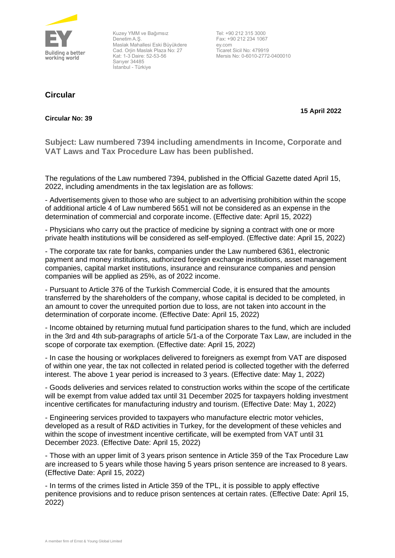

Kuzey YMM ve Bağımsız Denetim A.Ş. Maslak Mahallesi Eski Büyükdere Cad. Orjin Maslak Plaza No: 27 Kat: 1-3 Daire: 52-53-56 Sarıyer 34485 İstanbul - Türkiye

**Circular**

Tel: +90 212 315 3000 Fax: +90 212 234 1067 ey.com Ticaret Sicil No: 479919 Mersis No: 0-6010-2772-0400010

## **15 April 2022**

## **Circular No: 39**

**Subject: Law numbered 7394 including amendments in Income, Corporate and VAT Laws and Tax Procedure Law has been published.**

The regulations of the Law numbered 7394, published in the Official Gazette dated April 15, 2022, including amendments in the tax legislation are as follows:

- Advertisements given to those who are subject to an advertising prohibition within the scope of additional article 4 of Law numbered 5651 will not be considered as an expense in the determination of commercial and corporate income. (Effective date: April 15, 2022)

- Physicians who carry out the practice of medicine by signing a contract with one or more private health institutions will be considered as self-employed. (Effective date: April 15, 2022)

- The corporate tax rate for banks, companies under the Law numbered 6361, electronic payment and money institutions, authorized foreign exchange institutions, asset management companies, capital market institutions, insurance and reinsurance companies and pension companies will be applied as 25%, as of 2022 income.

- Pursuant to Article 376 of the Turkish Commercial Code, it is ensured that the amounts transferred by the shareholders of the company, whose capital is decided to be completed, in an amount to cover the unrequited portion due to loss, are not taken into account in the determination of corporate income. (Effective Date: April 15, 2022)

- Income obtained by returning mutual fund participation shares to the fund, which are included in the 3rd and 4th sub-paragraphs of article 5/1-a of the Corporate Tax Law, are included in the scope of corporate tax exemption. (Effective date: April 15, 2022)

- In case the housing or workplaces delivered to foreigners as exempt from VAT are disposed of within one year, the tax not collected in related period is collected together with the deferred interest. The above 1 year period is increased to 3 years. (Effective date: May 1, 2022)

- Goods deliveries and services related to construction works within the scope of the certificate will be exempt from value added tax until 31 December 2025 for taxpayers holding investment incentive certificates for manufacturing industry and tourism. (Effective Date: May 1, 2022)

- Engineering services provided to taxpayers who manufacture electric motor vehicles, developed as a result of R&D activities in Turkey, for the development of these vehicles and within the scope of investment incentive certificate, will be exempted from VAT until 31 December 2023. (Effective Date: April 15, 2022)

- Those with an upper limit of 3 years prison sentence in Article 359 of the Tax Procedure Law are increased to 5 years while those having 5 years prison sentence are increased to 8 years. (Effective Date: April 15, 2022)

- In terms of the crimes listed in Article 359 of the TPL, it is possible to apply effective penitence provisions and to reduce prison sentences at certain rates. (Effective Date: April 15, 2022)